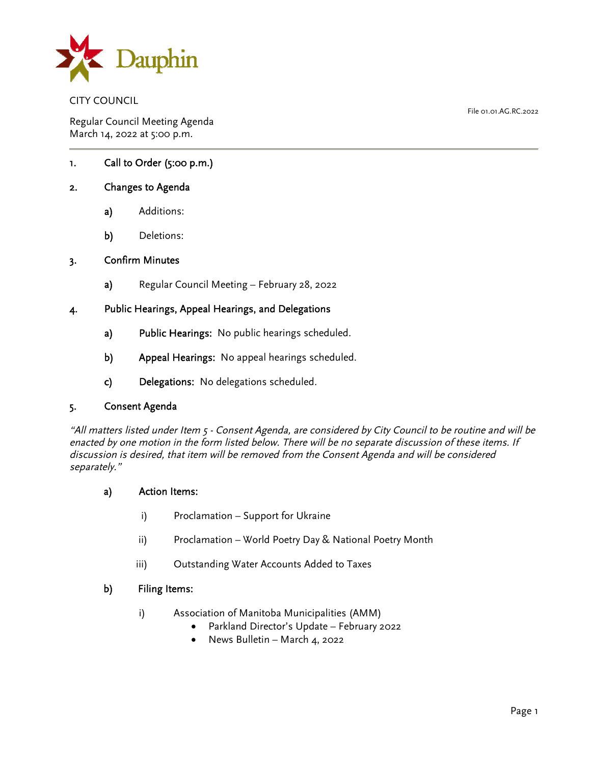

CITY COUNCIL

Regular Council Meeting Agenda March 14, 2022 at 5:00 p.m.

# 1. Call to Order (5:00 p.m.)

## 2. Changes to Agenda

- a) Additions:
- b) Deletions:

#### 3. Confirm Minutes

a) Regular Council Meeting – February 28, 2022

### 4. Public Hearings, Appeal Hearings, and Delegations

- a) Public Hearings: No public hearings scheduled.
- b) Appeal Hearings: No appeal hearings scheduled.
- c) Delegations: No delegations scheduled.

#### 5. Consent Agenda

"All matters listed under Item 5 - Consent Agenda, are considered by City Council to be routine and will be enacted by one motion in the form listed below. There will be no separate discussion of these items. If discussion is desired, that item will be removed from the Consent Agenda and will be considered separately."

- a) Action Items:
	- i) Proclamation Support for Ukraine
	- ii) Proclamation World Poetry Day & National Poetry Month
	- iii) Outstanding Water Accounts Added to Taxes

### b) Filing Items:

- i) Association of Manitoba Municipalities (AMM)
	- Parkland Director's Update February 2022
	- News Bulletin March 4, 2022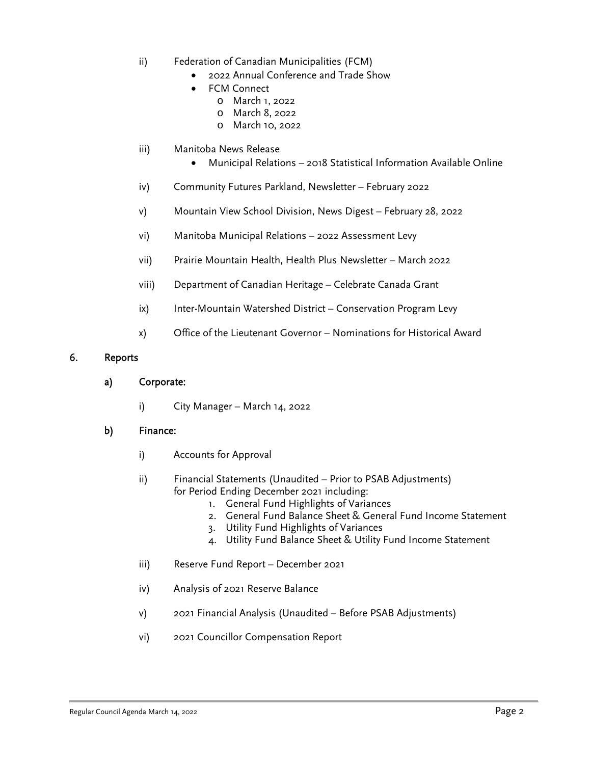- ii) Federation of Canadian Municipalities (FCM)
	- 2022 Annual Conference and Trade Show
		- FCM Connect
			- o March 1, 2022
			- o March 8, 2022
			- o March 10, 2022
- iii) Manitoba News Release
	- Municipal Relations 2018 Statistical Information Available Online
- iv) Community Futures Parkland, Newsletter February 2022
- v) Mountain View School Division, News Digest February 28, 2022
- vi) Manitoba Municipal Relations 2022 Assessment Levy
- vii) Prairie Mountain Health, Health Plus Newsletter March 2022
- viii) Department of Canadian Heritage Celebrate Canada Grant
- ix) Inter-Mountain Watershed District Conservation Program Levy
- x) Office of the Lieutenant Governor Nominations for Historical Award

### 6. Reports

- a) Corporate:
	- i) City Manager March 14, 2022

#### b) Finance:

- i) Accounts for Approval
- ii) Financial Statements (Unaudited Prior to PSAB Adjustments) for Period Ending December 2021 including:
	- 1. General Fund Highlights of Variances
	- 2. General Fund Balance Sheet & General Fund Income Statement
	- 3. Utility Fund Highlights of Variances
	- 4. Utility Fund Balance Sheet & Utility Fund Income Statement
- iii) Reserve Fund Report December 2021
- iv) Analysis of 2021 Reserve Balance
- v) 2021 Financial Analysis (Unaudited Before PSAB Adjustments)
- vi) 2021 Councillor Compensation Report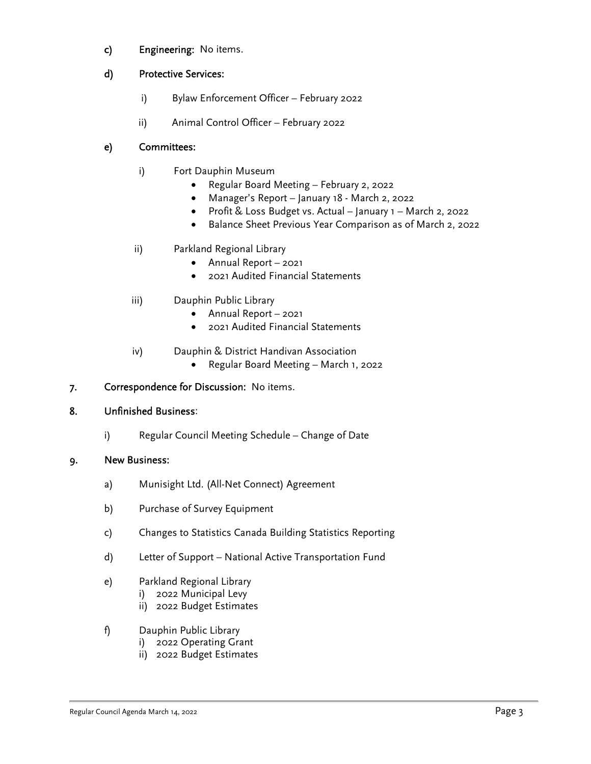c) Engineering: No items.

# d) Protective Services:

- i) Bylaw Enforcement Officer February 2022
- ii) Animal Control Officer February 2022

# e) Committees:

- i) Fort Dauphin Museum
	- Regular Board Meeting February 2, 2022
	- Manager's Report January 18 March 2, 2022
	- Profit & Loss Budget vs. Actual January 1 March 2, 2022
	- Balance Sheet Previous Year Comparison as of March 2, 2022
- ii) Parkland Regional Library
	- Annual Report 2021
	- 2021 Audited Financial Statements
- iii) Dauphin Public Library
	- Annual Report 2021
	- 2021 Audited Financial Statements
- iv) Dauphin & District Handivan Association
	- Regular Board Meeting March 1, 2022

# 7. Correspondence for Discussion: No items.

# 8. Unfinished Business:

i) Regular Council Meeting Schedule – Change of Date

# 9. New Business:

- a) Munisight Ltd. (All-Net Connect) Agreement
- b) Purchase of Survey Equipment
- c) Changes to Statistics Canada Building Statistics Reporting
- d) Letter of Support National Active Transportation Fund
- e) Parkland Regional Library
	- i) 2022 Municipal Levy
	- ii) 2022 Budget Estimates
- f) Dauphin Public Library
	- i) 2022 Operating Grant
	- ii) 2022 Budget Estimates